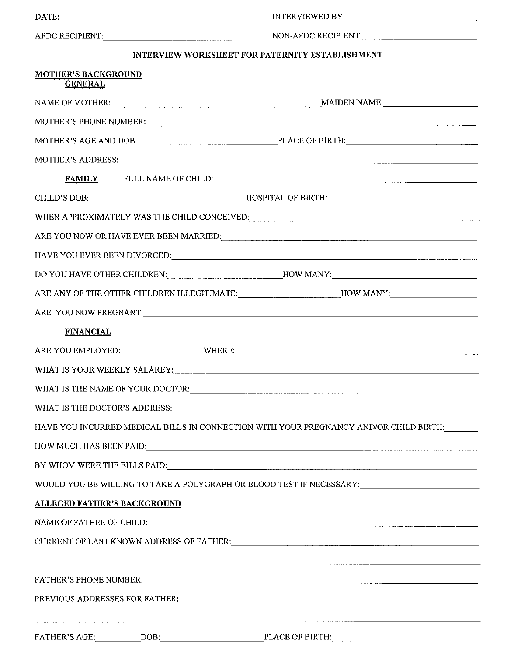|                                                                                       | INTERVIEWED BY:                                                                                                                                                                                                                                                                                                     |  |
|---------------------------------------------------------------------------------------|---------------------------------------------------------------------------------------------------------------------------------------------------------------------------------------------------------------------------------------------------------------------------------------------------------------------|--|
| AFDC RECIPIENT:                                                                       | NON-AFDC RECIPIENT:                                                                                                                                                                                                                                                                                                 |  |
|                                                                                       | INTERVIEW WORKSHEET FOR PATERNITY ESTABLISHMENT                                                                                                                                                                                                                                                                     |  |
| <b>MOTHER'S BACKGROUND</b><br><b>GENERAL</b>                                          |                                                                                                                                                                                                                                                                                                                     |  |
| NAME OF MOTHER: NAME OF MOTHER:                                                       |                                                                                                                                                                                                                                                                                                                     |  |
|                                                                                       | MOTHER'S PHONE NUMBER: University of the state of the state of the state of the state of the state of the state of the state of the state of the state of the state of the state of the state of the state of the state of the                                                                                      |  |
|                                                                                       | MOTHER'S AGE AND DOB: PLACE OF BIRTH:                                                                                                                                                                                                                                                                               |  |
|                                                                                       | MOTHER'S ADDRESS: New York Contract the Contract of the Contract of the Contract of the Contract of the Contract of the Contract of the Contract of the Contract of the Contract of the Contract of the Contract of the Contra                                                                                      |  |
|                                                                                       | FAMILY FULL NAME OF CHILD:                                                                                                                                                                                                                                                                                          |  |
|                                                                                       |                                                                                                                                                                                                                                                                                                                     |  |
|                                                                                       |                                                                                                                                                                                                                                                                                                                     |  |
|                                                                                       |                                                                                                                                                                                                                                                                                                                     |  |
|                                                                                       |                                                                                                                                                                                                                                                                                                                     |  |
|                                                                                       | DO YOU HAVE OTHER CHILDREN:___________________________HOW MANY:__________________                                                                                                                                                                                                                                   |  |
|                                                                                       | ARE ANY OF THE OTHER CHILDREN ILLEGITIMATE:________________________HOW MANY:_______________________                                                                                                                                                                                                                 |  |
|                                                                                       |                                                                                                                                                                                                                                                                                                                     |  |
| <b>FINANCIAL</b>                                                                      |                                                                                                                                                                                                                                                                                                                     |  |
|                                                                                       |                                                                                                                                                                                                                                                                                                                     |  |
|                                                                                       |                                                                                                                                                                                                                                                                                                                     |  |
|                                                                                       |                                                                                                                                                                                                                                                                                                                     |  |
|                                                                                       |                                                                                                                                                                                                                                                                                                                     |  |
| HAVE YOU INCURRED MEDICAL BILLS IN CONNECTION WITH YOUR PREGNANCY AND/OR CHILD BIRTH: |                                                                                                                                                                                                                                                                                                                     |  |
|                                                                                       |                                                                                                                                                                                                                                                                                                                     |  |
| BY WHOM WERE THE BILLS PAID: The Contract of the BILLS PAID:                          |                                                                                                                                                                                                                                                                                                                     |  |
|                                                                                       | WOULD YOU BE WILLING TO TAKE A POLYGRAPH OR BLOOD TEST IF NECESSARY:_______________________________                                                                                                                                                                                                                 |  |
| <b>ALLEGED FATHER'S BACKGROUND</b>                                                    |                                                                                                                                                                                                                                                                                                                     |  |
|                                                                                       | NAME OF FATHER OF CHILD: A BELOW AND THE SERVICE OF STATE OF STATE AND THE SERVICE OF STATE OF STATE OF STATE OF STATE OF STATE OF STATE OF STATE OF STATE OF STATE OF STATE OF STATE OF STATE OF STATE OF STATE OF STATE OF S                                                                                      |  |
|                                                                                       | CURRENT OF LAST KNOWN ADDRESS OF FATHER:                                                                                                                                                                                                                                                                            |  |
|                                                                                       | ,他们的人们就是一个人的人,他们的人们就是一个人的人,他们的人们就是一个人的人,他们的人们就是一个人的人,他们的人们就是一个人的人,他们的人们就是一个人的人,他们<br>FATHER'S PHONE NUMBER: The contract of the contract of the contract of the contract of the contract of the contract of the contract of the contract of the contract of the contract of the contract of the contract of the con |  |
|                                                                                       | PREVIOUS ADDRESSES FOR FATHER: University of the contract of the contract of the contract of the contract of the contract of the contract of the contract of the contract of the contract of the contract of the contract of t                                                                                      |  |
|                                                                                       |                                                                                                                                                                                                                                                                                                                     |  |
|                                                                                       |                                                                                                                                                                                                                                                                                                                     |  |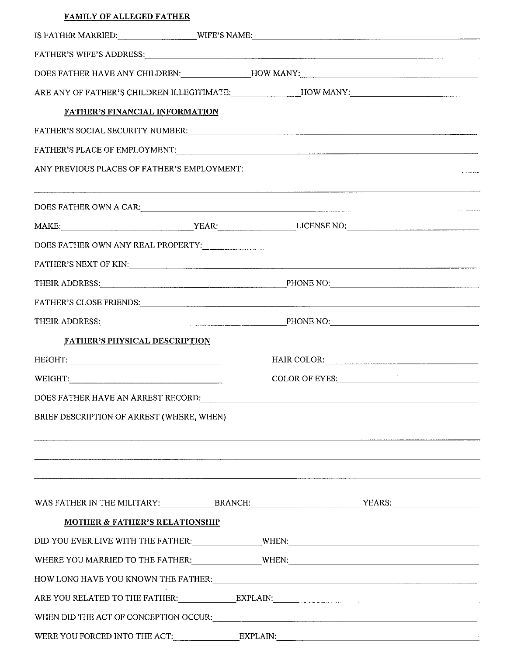| <b>FAMILY OF ALLEGED FATHER</b>                                                                                                                                                                                                |                                                                                                                                                                                                                                |  |
|--------------------------------------------------------------------------------------------------------------------------------------------------------------------------------------------------------------------------------|--------------------------------------------------------------------------------------------------------------------------------------------------------------------------------------------------------------------------------|--|
|                                                                                                                                                                                                                                | IS FATHER MARRIED:___________________WIFE'S NAME:________________________________                                                                                                                                              |  |
|                                                                                                                                                                                                                                | FATHER'S WIFE'S ADDRESS: The Contract of the Contract of the Contract of the Contract of the Contract of the Contract of the Contract of the Contract of the Contract of the Contract of the Contract of the Contract of the C |  |
|                                                                                                                                                                                                                                | DOES FATHER HAVE ANY CHILDREN:______________HOW MANY:____________________________                                                                                                                                              |  |
|                                                                                                                                                                                                                                | ARE ANY OF FATHER'S CHILDREN ILLEGITIMATE:_______________HOW MANY:_______________                                                                                                                                              |  |
| <b>FATHER'S FINANCIAL INFORMATION</b>                                                                                                                                                                                          |                                                                                                                                                                                                                                |  |
|                                                                                                                                                                                                                                |                                                                                                                                                                                                                                |  |
|                                                                                                                                                                                                                                |                                                                                                                                                                                                                                |  |
|                                                                                                                                                                                                                                |                                                                                                                                                                                                                                |  |
|                                                                                                                                                                                                                                | DOES FATHER OWN A CAR: University of the contract of the contract of the contract of the contract of the contract of the contract of the contract of the contract of the contract of the contract of the contract of the contr |  |
|                                                                                                                                                                                                                                |                                                                                                                                                                                                                                |  |
|                                                                                                                                                                                                                                |                                                                                                                                                                                                                                |  |
|                                                                                                                                                                                                                                | FATHER'S NEXT OF KIN: Particular and the contract of the contract of the contract of the contract of the contract of the contract of the contract of the contract of the contract of the contract of the contract of the contr |  |
|                                                                                                                                                                                                                                | THEIR ADDRESS: PHONE NO: PHONE NO:                                                                                                                                                                                             |  |
|                                                                                                                                                                                                                                | FATHER'S CLOSE FRIENDS: University of the Second Contract of the Second Contract of the Second Contract of the                                                                                                                 |  |
|                                                                                                                                                                                                                                | THEIR ADDRESS: PHONE NO: PHONE NO:                                                                                                                                                                                             |  |
| <b>FATHER'S PHYSICAL DESCRIPTION</b>                                                                                                                                                                                           |                                                                                                                                                                                                                                |  |
| HEIGHT: A CONTROLLER CONTROLLER CONTROLLER CONTROLLER CONTROLLER CONTROLLER CONTROLLER CONTROLLER CONTROLLER CONTROLLER CONTROLLER CONTROLLER CONTROLLER CONTROLLER CONTROLLER CONTROLLER CONTROLLER CONTROLLER CONTROLLER CON | HAIR COLOR: COLOR:                                                                                                                                                                                                             |  |
| WEIGHT:                                                                                                                                                                                                                        | COLOR OF EYES:                                                                                                                                                                                                                 |  |
|                                                                                                                                                                                                                                | DOES FATHER HAVE AN ARREST RECORD: University of the contract of the state of the contract of the contract of the contract of the contract of the contract of the contract of the contract of the contract of the contract of  |  |
| BRIEF DESCRIPTION OF ARREST (WHERE, WHEN)                                                                                                                                                                                      |                                                                                                                                                                                                                                |  |
|                                                                                                                                                                                                                                |                                                                                                                                                                                                                                |  |
|                                                                                                                                                                                                                                |                                                                                                                                                                                                                                |  |
|                                                                                                                                                                                                                                |                                                                                                                                                                                                                                |  |
| <b>MOTHER &amp; FATHER'S RELATIONSHIP</b>                                                                                                                                                                                      |                                                                                                                                                                                                                                |  |
|                                                                                                                                                                                                                                |                                                                                                                                                                                                                                |  |
|                                                                                                                                                                                                                                | WHERE YOU MARRIED TO THE FATHER: WHEN: WHEN: WHEN: WHERE YOU MARRIED TO THE FATHER:                                                                                                                                            |  |
|                                                                                                                                                                                                                                |                                                                                                                                                                                                                                |  |
|                                                                                                                                                                                                                                | ARE YOU RELATED TO THE FATHER: EXPLAIN: EXPLAIN:                                                                                                                                                                               |  |
|                                                                                                                                                                                                                                |                                                                                                                                                                                                                                |  |
|                                                                                                                                                                                                                                |                                                                                                                                                                                                                                |  |